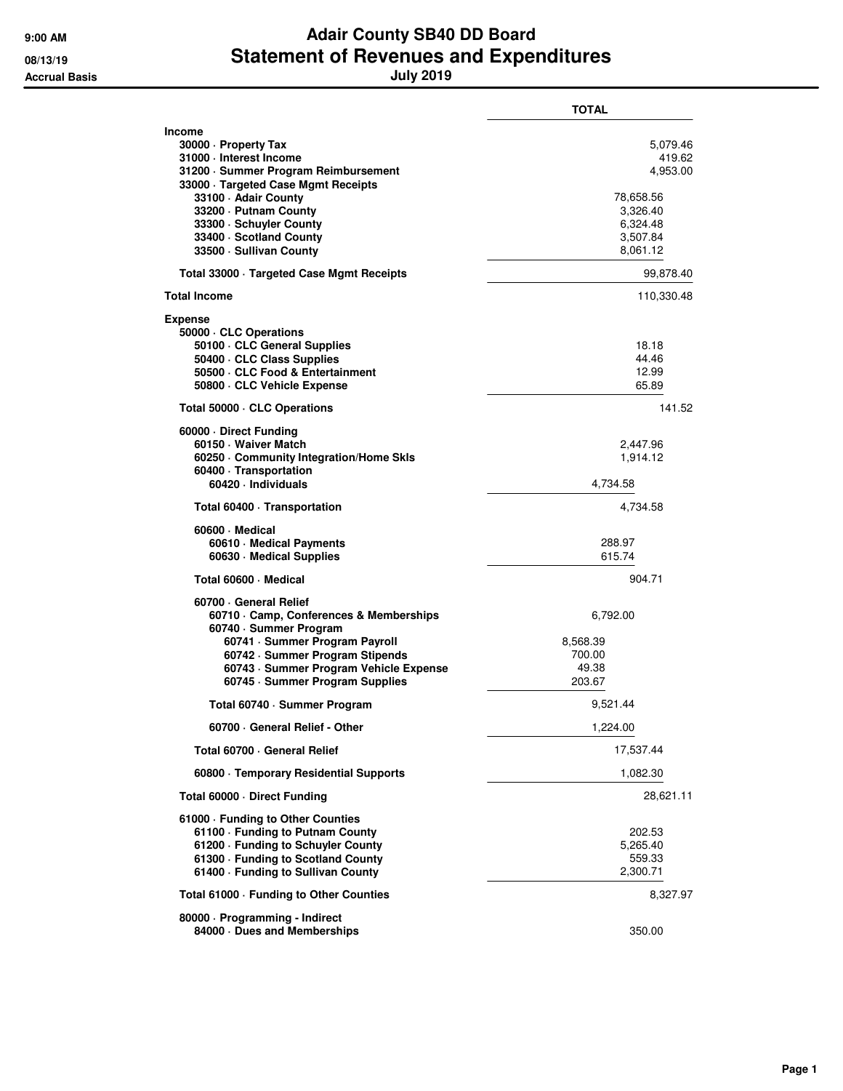## **9:00 AM Adair County SB40 DD Board 08/13/19 Statement of Revenues and Expenditures Accrual Basis July 2019**

|                                                                                                                                                                                                                                           | <b>TOTAL</b>                                              |
|-------------------------------------------------------------------------------------------------------------------------------------------------------------------------------------------------------------------------------------------|-----------------------------------------------------------|
| Income<br>30000 - Property Tax<br>31000 - Interest Income<br>31200 · Summer Program Reimbursement                                                                                                                                         | 5,079.46<br>419.62<br>4,953.00                            |
| 33000 · Targeted Case Mgmt Receipts<br>33100 - Adair County<br>33200 · Putnam County<br>33300 · Schuyler County<br>33400 · Scotland County<br>33500 · Sullivan County                                                                     | 78.658.56<br>3,326.40<br>6,324.48<br>3,507.84<br>8,061.12 |
| Total 33000 Targeted Case Mgmt Receipts                                                                                                                                                                                                   | 99,878.40                                                 |
| <b>Total Income</b>                                                                                                                                                                                                                       | 110,330.48                                                |
| <b>Expense</b><br>50000 CLC Operations<br>50100 · CLC General Supplies<br>50400 · CLC Class Supplies<br>50500 · CLC Food & Entertainment<br>50800 · CLC Vehicle Expense                                                                   | 18.18<br>44.46<br>12.99<br>65.89                          |
| Total 50000 · CLC Operations                                                                                                                                                                                                              | 141.52                                                    |
| 60000 Direct Funding<br>60150 · Waiver Match<br>60250 Community Integration/Home Skls<br>60400 · Transportation<br>60420 · Individuals                                                                                                    | 2,447.96<br>1,914.12<br>4,734.58                          |
| Total 60400 · Transportation                                                                                                                                                                                                              | 4,734.58                                                  |
| 60600 Medical<br>60610 · Medical Payments<br>60630 · Medical Supplies                                                                                                                                                                     | 288.97<br>615.74                                          |
| Total 60600 · Medical                                                                                                                                                                                                                     | 904.71                                                    |
| 60700 General Relief<br>60710 Camp, Conferences & Memberships<br>60740 · Summer Program<br>60741 · Summer Program Payroll<br>60742 · Summer Program Stipends<br>60743 · Summer Program Vehicle Expense<br>60745 · Summer Program Supplies | 6,792.00<br>8,568.39<br>700.00<br>49.38<br>203.67         |
| Total 60740 · Summer Program                                                                                                                                                                                                              | 9,521.44                                                  |
| 60700 · General Relief - Other                                                                                                                                                                                                            | 1,224.00                                                  |
| Total 60700 · General Relief                                                                                                                                                                                                              | 17,537.44                                                 |
| 60800 · Temporary Residential Supports                                                                                                                                                                                                    | 1,082.30                                                  |
| Total 60000 · Direct Funding                                                                                                                                                                                                              | 28,621.11                                                 |
| 61000 - Funding to Other Counties<br>61100 · Funding to Putnam County<br>61200 - Funding to Schuyler County<br>61300 - Funding to Scotland County<br>61400 · Funding to Sullivan County                                                   | 202.53<br>5,265.40<br>559.33<br>2,300.71                  |
| Total 61000 - Funding to Other Counties                                                                                                                                                                                                   | 8,327.97                                                  |
| 80000 · Programming - Indirect<br>84000 Dues and Memberships                                                                                                                                                                              | 350.00                                                    |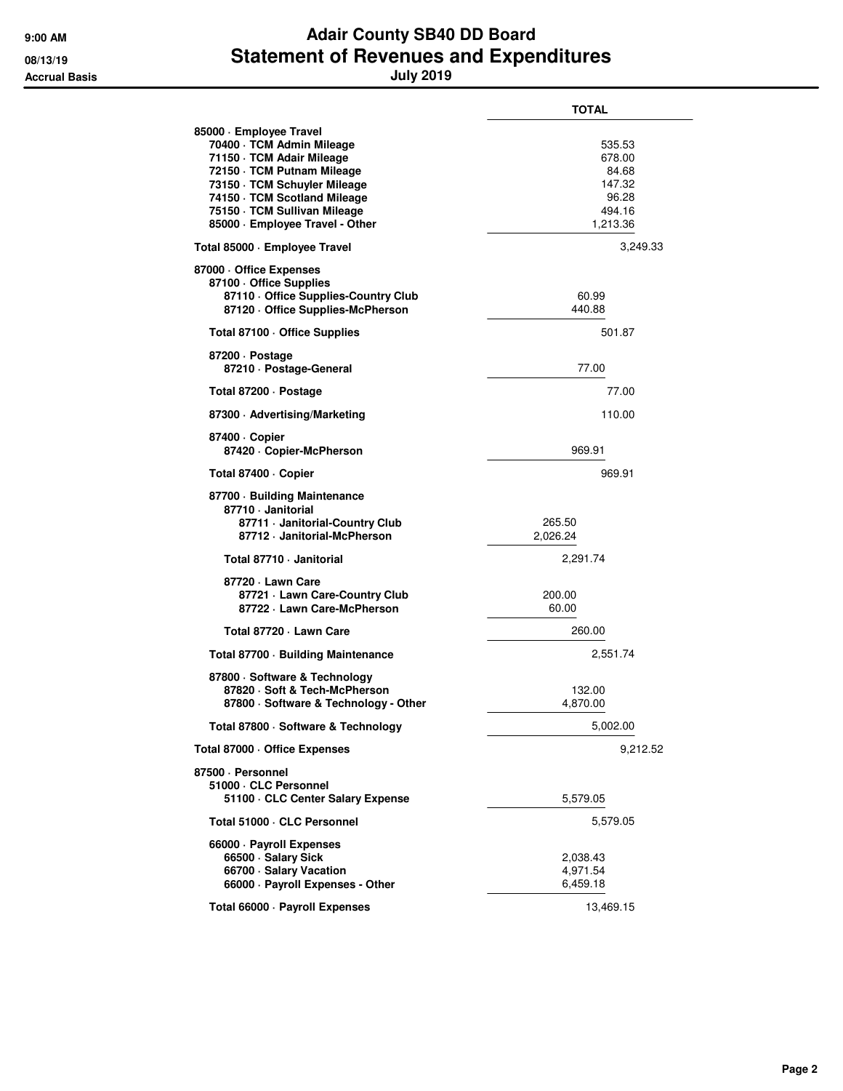## **9:00 AM Adair County SB40 DD Board 08/13/19 Statement of Revenues and Expenditures Accrual Basis July 2019**

|                                                                                                                                                                                                                                                    | TOTAL                                                              |
|----------------------------------------------------------------------------------------------------------------------------------------------------------------------------------------------------------------------------------------------------|--------------------------------------------------------------------|
| 85000 · Employee Travel<br>70400 · TCM Admin Mileage<br>71150 · TCM Adair Mileage<br>72150 · TCM Putnam Mileage<br>73150 · TCM Schuyler Mileage<br>74150 · TCM Scotland Mileage<br>75150 · TCM Sullivan Mileage<br>85000 · Employee Travel - Other | 535.53<br>678.00<br>84.68<br>147.32<br>96.28<br>494.16<br>1,213.36 |
| Total 85000 · Employee Travel                                                                                                                                                                                                                      | 3,249.33                                                           |
| 87000 Office Expenses<br>87100 Office Supplies<br>87110 Office Supplies-Country Club<br>87120 Office Supplies-McPherson                                                                                                                            | 60.99<br>440.88                                                    |
| Total 87100 · Office Supplies                                                                                                                                                                                                                      | 501.87                                                             |
| 87200 Dostage<br>87210 · Postage-General                                                                                                                                                                                                           | 77.00                                                              |
| Total 87200 · Postage                                                                                                                                                                                                                              | 77.00                                                              |
| 87300 Advertising/Marketing                                                                                                                                                                                                                        | 110.00                                                             |
| 87400 · Copier<br>87420 · Copier-McPherson                                                                                                                                                                                                         | 969.91                                                             |
| Total 87400 · Copier                                                                                                                                                                                                                               | 969.91                                                             |
| 87700 · Building Maintenance<br>87710 · Janitorial<br>87711 Janitorial-Country Club<br>87712 · Janitorial-McPherson                                                                                                                                | 265.50<br>2,026.24                                                 |
| Total 87710 - Janitorial                                                                                                                                                                                                                           | 2,291.74                                                           |
| 87720 · Lawn Care<br>87721 - Lawn Care-Country Club<br>87722 - Lawn Care-McPherson                                                                                                                                                                 | 200.00<br>60.00                                                    |
| Total 87720 - Lawn Care                                                                                                                                                                                                                            | 260.00                                                             |
| Total 87700 · Building Maintenance                                                                                                                                                                                                                 | 2,551.74                                                           |
| 87800 · Software & Technology<br>87820 · Soft & Tech-McPherson<br>87800 · Software & Technology - Other                                                                                                                                            | 132.00<br>4,870.00                                                 |
| Total 87800 · Software & Technology                                                                                                                                                                                                                | 5,002.00                                                           |
| Total 87000 · Office Expenses                                                                                                                                                                                                                      | 9,212.52                                                           |
| 87500 · Personnel<br>51000 · CLC Personnel<br>51100 · CLC Center Salary Expense                                                                                                                                                                    | 5,579.05                                                           |
| Total 51000 · CLC Personnel                                                                                                                                                                                                                        | 5,579.05                                                           |
| 66000 · Payroll Expenses<br>66500 · Salary Sick<br>66700 · Salary Vacation<br>66000 · Payroll Expenses - Other                                                                                                                                     | 2,038.43<br>4,971.54<br>6,459.18                                   |
| Total 66000 · Payroll Expenses                                                                                                                                                                                                                     | 13,469.15                                                          |